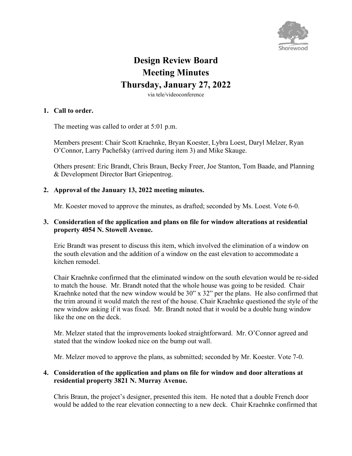

# **Design Review Board Meeting Minutes Thursday, January 27, 2022**

via tele/videoconference

## **1. Call to order.**

The meeting was called to order at 5:01 p.m.

Members present: Chair Scott Kraehnke, Bryan Koester, Lybra Loest, Daryl Melzer, Ryan O'Connor, Larry Pachefsky (arrived during item 3) and Mike Skauge.

Others present: Eric Brandt, Chris Braun, Becky Freer, Joe Stanton, Tom Baade, and Planning & Development Director Bart Griepentrog.

## **2. Approval of the January 13, 2022 meeting minutes.**

Mr. Koester moved to approve the minutes, as drafted; seconded by Ms. Loest. Vote 6-0.

## **3. Consideration of the application and plans on file for window alterations at residential property 4054 N. Stowell Avenue.**

Eric Brandt was present to discuss this item, which involved the elimination of a window on the south elevation and the addition of a window on the east elevation to accommodate a kitchen remodel.

Chair Kraehnke confirmed that the eliminated window on the south elevation would be re-sided to match the house. Mr. Brandt noted that the whole house was going to be resided. Chair Kraehnke noted that the new window would be 30" x 32" per the plans. He also confirmed that the trim around it would match the rest of the house. Chair Kraehnke questioned the style of the new window asking if it was fixed. Mr. Brandt noted that it would be a double hung window like the one on the deck.

Mr. Melzer stated that the improvements looked straightforward. Mr. O'Connor agreed and stated that the window looked nice on the bump out wall.

Mr. Melzer moved to approve the plans, as submitted; seconded by Mr. Koester. Vote 7-0.

#### **4. Consideration of the application and plans on file for window and door alterations at residential property 3821 N. Murray Avenue.**

Chris Braun, the project's designer, presented this item. He noted that a double French door would be added to the rear elevation connecting to a new deck. Chair Kraehnke confirmed that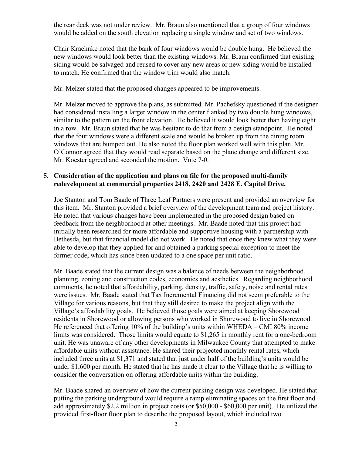the rear deck was not under review. Mr. Braun also mentioned that a group of four windows would be added on the south elevation replacing a single window and set of two windows.

Chair Kraehnke noted that the bank of four windows would be double hung. He believed the new windows would look better than the existing windows. Mr. Braun confirmed that existing siding would be salvaged and reused to cover any new areas or new siding would be installed to match. He confirmed that the window trim would also match.

Mr. Melzer stated that the proposed changes appeared to be improvements.

Mr. Melzer moved to approve the plans, as submitted. Mr. Pachefsky questioned if the designer had considered installing a larger window in the center flanked by two double hung windows, similar to the pattern on the front elevation. He believed it would look better than having eight in a row. Mr. Braun stated that he was hesitant to do that from a design standpoint. He noted that the four windows were a different scale and would be broken up from the dining room windows that are bumped out. He also noted the floor plan worked well with this plan. Mr. O'Connor agreed that they would read separate based on the plane change and different size. Mr. Koester agreed and seconded the motion. Vote 7-0.

## **5. Consideration of the application and plans on file for the proposed multi-family redevelopment at commercial properties 2418, 2420 and 2428 E. Capitol Drive.**

Joe Stanton and Tom Baade of Three Leaf Partners were present and provided an overview for this item. Mr. Stanton provided a brief overview of the development team and project history. He noted that various changes have been implemented in the proposed design based on feedback from the neighborhood at other meetings. Mr. Baade noted that this project had initially been researched for more affordable and supportive housing with a partnership with Bethesda, but that financial model did not work. He noted that once they knew what they were able to develop that they applied for and obtained a parking special exception to meet the former code, which has since been updated to a one space per unit ratio.

Mr. Baade stated that the current design was a balance of needs between the neighborhood, planning, zoning and construction codes, economics and aesthetics. Regarding neighborhood comments, he noted that affordability, parking, density, traffic, safety, noise and rental rates were issues. Mr. Baade stated that Tax Incremental Financing did not seem preferable to the Village for various reasons, but that they still desired to make the project align with the Village's affordability goals. He believed those goals were aimed at keeping Shorewood residents in Shorewood or allowing persons who worked in Shorewood to live in Shorewood. He referenced that offering 10% of the building's units within WHEDA – CMI 80% income limits was considered. Those limits would equate to \$1,265 in monthly rent for a one-bedroom unit. He was unaware of any other developments in Milwaukee County that attempted to make affordable units without assistance. He shared their projected monthly rental rates, which included three units at \$1,371 and stated that just under half of the building's units would be under \$1,600 per month. He stated that he has made it clear to the Village that he is willing to consider the conversation on offering affordable units within the building.

Mr. Baade shared an overview of how the current parking design was developed. He stated that putting the parking underground would require a ramp eliminating spaces on the first floor and add approximately \$2.2 million in project costs (or \$50,000 - \$60,000 per unit). He utilized the provided first-floor floor plan to describe the proposed layout, which included two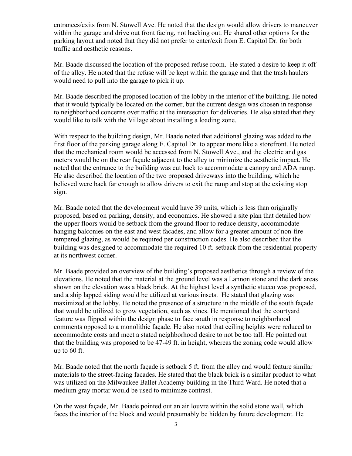entrances/exits from N. Stowell Ave. He noted that the design would allow drivers to maneuver within the garage and drive out front facing, not backing out. He shared other options for the parking layout and noted that they did not prefer to enter/exit from E. Capitol Dr. for both traffic and aesthetic reasons.

Mr. Baade discussed the location of the proposed refuse room. He stated a desire to keep it off of the alley. He noted that the refuse will be kept within the garage and that the trash haulers would need to pull into the garage to pick it up.

Mr. Baade described the proposed location of the lobby in the interior of the building. He noted that it would typically be located on the corner, but the current design was chosen in response to neighborhood concerns over traffic at the intersection for deliveries. He also stated that they would like to talk with the Village about installing a loading zone.

With respect to the building design, Mr. Baade noted that additional glazing was added to the first floor of the parking garage along E. Capitol Dr. to appear more like a storefront. He noted that the mechanical room would be accessed from N. Stowell Ave., and the electric and gas meters would be on the rear façade adjacent to the alley to minimize the aesthetic impact. He noted that the entrance to the building was cut back to accommodate a canopy and ADA ramp. He also described the location of the two proposed driveways into the building, which he believed were back far enough to allow drivers to exit the ramp and stop at the existing stop sign.

Mr. Baade noted that the development would have 39 units, which is less than originally proposed, based on parking, density, and economics. He showed a site plan that detailed how the upper floors would be setback from the ground floor to reduce density, accommodate hanging balconies on the east and west facades, and allow for a greater amount of non-fire tempered glazing, as would be required per construction codes. He also described that the building was designed to accommodate the required 10 ft. setback from the residential property at its northwest corner.

Mr. Baade provided an overview of the building's proposed aesthetics through a review of the elevations. He noted that the material at the ground level was a Lannon stone and the dark areas shown on the elevation was a black brick. At the highest level a synthetic stucco was proposed, and a ship lapped siding would be utilized at various insets. He stated that glazing was maximized at the lobby. He noted the presence of a structure in the middle of the south façade that would be utilized to grow vegetation, such as vines. He mentioned that the courtyard feature was flipped within the design phase to face south in response to neighborhood comments opposed to a monolithic façade. He also noted that ceiling heights were reduced to accommodate costs and meet a stated neighborhood desire to not be too tall. He pointed out that the building was proposed to be 47-49 ft. in height, whereas the zoning code would allow up to 60 ft.

Mr. Baade noted that the north façade is setback 5 ft. from the alley and would feature similar materials to the street-facing facades. He stated that the black brick is a similar product to what was utilized on the Milwaukee Ballet Academy building in the Third Ward. He noted that a medium gray mortar would be used to minimize contrast.

On the west façade, Mr. Baade pointed out an air louvre within the solid stone wall, which faces the interior of the block and would presumably be hidden by future development. He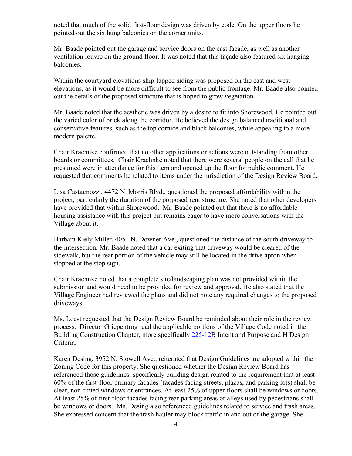noted that much of the solid first-floor design was driven by code. On the upper floors he pointed out the six hung balconies on the corner units.

Mr. Baade pointed out the garage and service doors on the east façade, as well as another ventilation louvre on the ground floor. It was noted that this façade also featured six hanging balconies.

Within the courtyard elevations ship-lapped siding was proposed on the east and west elevations, as it would be more difficult to see from the public frontage. Mr. Baade also pointed out the details of the proposed structure that is hoped to grow vegetation.

Mr. Baade noted that the aesthetic was driven by a desire to fit into Shorewood. He pointed out the varied color of brick along the corridor. He believed the design balanced traditional and conservative features, such as the top cornice and black balconies, while appealing to a more modern palette.

Chair Kraehnke confirmed that no other applications or actions were outstanding from other boards or committees. Chair Kraehnke noted that there were several people on the call that he presumed were in attendance for this item and opened up the floor for public comment. He requested that comments be related to items under the jurisdiction of the Design Review Board.

Lisa Castagnozzi, 4472 N. Morris Blvd., questioned the proposed affordability within the project, particularly the duration of the proposed rent structure. She noted that other developers have provided that within Shorewood. Mr. Baade pointed out that there is no affordable housing assistance with this project but remains eager to have more conversations with the Village about it.

Barbara Kiely Miller, 4051 N. Downer Ave., questioned the distance of the south driveway to the intersection. Mr. Baade noted that a car exiting that driveway would be cleared of the sidewalk, but the rear portion of the vehicle may still be located in the drive apron when stopped at the stop sign.

Chair Kraehnke noted that a complete site/landscaping plan was not provided within the submission and would need to be provided for review and approval. He also stated that the Village Engineer had reviewed the plans and did not note any required changes to the proposed driveways.

Ms. Loest requested that the Design Review Board be reminded about their role in the review process. Director Griepentrog read the applicable portions of the Village Code noted in the Building Construction Chapter, more specifically [225-12B](https://ecode360.com/7773691) Intent and Purpose and H Design Criteria.

Karen Desing, 3952 N. Stowell Ave., reiterated that Design Guidelines are adopted within the Zoning Code for this property. She questioned whether the Design Review Board has referenced those guidelines, specifically building design related to the requirement that at least 60% of the first-floor primary facades (facades facing streets, plazas, and parking lots) shall be clear, non-tinted windows or entrances. At least 25% of upper floors shall be windows or doors. At least 25% of first-floor facades facing rear parking areas or alleys used by pedestrians shall be windows or doors. Ms. Desing also referenced guidelines related to service and trash areas. She expressed concern that the trash hauler may block traffic in and out of the garage. She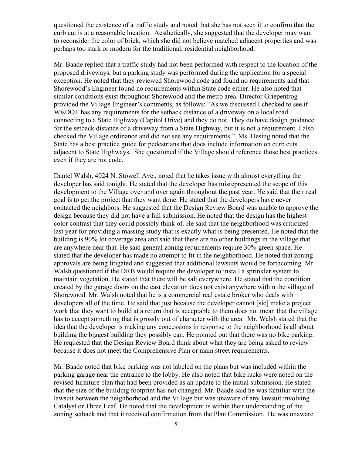questioned the existence of a traffic study and noted that she has not seen it to confirm that the curb cut is at a reasonable location. Aesthetically, she suggested that the developer may want to reconsider the color of brick, which she did not believe matched adjacent properties and was perhaps too stark or modern for the traditional, residential neighborhood.

Mr. Baade replied that a traffic study had not been performed with respect to the location of the proposed driveways, but a parking study was performed during the application for a special exception. He noted that they reviewed Shorewood code and found no requirements and that Shorewood's Engineer found no requirements within State code either. He also noted that similar conditions exist throughout Shorewood and the metro area. Director Griepentrog provided the Village Engineer's comments, as follows: "As we discussed I checked to see if WisDOT has any requirements for the setback distance of a driveway on a local road connecting to a State Highway (Capitol Drive) and they do not. They do have design guidance for the setback distance of a driveway from a State Highway, but it is not a requirement. I also checked the Village ordinance and did not see any requirements." Ms. Desing noted that the State has a best practice guide for pedestrians that does include information on curb cuts adjacent to State Highways. She questioned if the Village should reference those best practices even if they are not code.

Daniel Walsh, 4024 N. Stowell Ave., noted that he takes issue with almost everything the developer has said tonight. He stated that the developer has misrepresented the scope of this development to the Village over and over again throughout the past year. He said that their real goal is to get the project that they want done. He stated that the developers have never contacted the neighbors. He suggested that the Design Review Board was unable to approve the design because they did not have a full submission. He noted that the design has the highest color contrast that they could possibly think of. He said that the neighborhood was criticized last year for providing a massing study that is exactly what is being presented. He noted that the building is 90% lot coverage area and said that there are no other buildings in the village that are anywhere near that. He said general zoning requirements require 30% green space. He stated that the developer has made no attempt to fit in the neighborhood. He noted that zoning approvals are being litigated and suggested that additional lawsuits would be forthcoming. Mr. Walsh questioned if the DRB would require the developer to install a sprinkler system to maintain vegetation. He stated that there will be salt everywhere. He stated that the condition created by the garage doors on the east elevation does not exist anywhere within the village of Shorewood. Mr. Walsh noted that he is a commercial real estate broker who deals with developers all of the time. He said that just because the developer cannot [sic] make a project work that they want to build at a return that is acceptable to them does not mean that the village has to accept something that is grossly out of character with the area. Mr. Walsh stated that the idea that the developer is making any concessions in response to the neighborhood is all about building the biggest building they possibly can. He pointed out that there was no bike parking. He requested that the Design Review Board think about what they are being asked to review because it does not meet the Comprehensive Plan or main street requirements.

Mr. Baade noted that bike parking was not labeled on the plans but was included within the parking garage near the entrance to the lobby. He also noted that bike racks were noted on the revised furniture plan that had been provided as an update to the initial submission. He stated that the size of the building footprint has not changed. Mr. Baade said he was familiar with the lawsuit between the neighborhood and the Village but was unaware of any lawsuit involving Catalyst or Three Leaf. He noted that the development is within their understanding of the zoning setback and that it received confirmation from the Plan Commission. He was unaware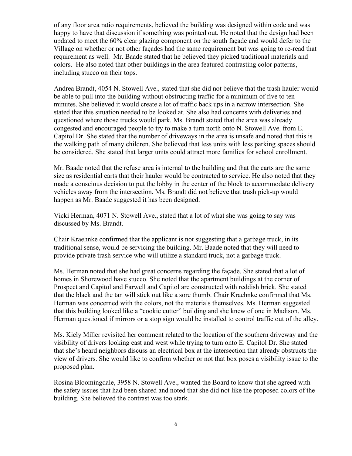of any floor area ratio requirements, believed the building was designed within code and was happy to have that discussion if something was pointed out. He noted that the design had been updated to meet the 60% clear glazing component on the south façade and would defer to the Village on whether or not other façades had the same requirement but was going to re-read that requirement as well. Mr. Baade stated that he believed they picked traditional materials and colors. He also noted that other buildings in the area featured contrasting color patterns, including stucco on their tops.

Andrea Brandt, 4054 N. Stowell Ave., stated that she did not believe that the trash hauler would be able to pull into the building without obstructing traffic for a minimum of five to ten minutes. She believed it would create a lot of traffic back ups in a narrow intersection. She stated that this situation needed to be looked at. She also had concerns with deliveries and questioned where those trucks would park. Ms. Brandt stated that the area was already congested and encouraged people to try to make a turn north onto N. Stowell Ave. from E. Capitol Dr. She stated that the number of driveways in the area is unsafe and noted that this is the walking path of many children. She believed that less units with less parking spaces should be considered. She stated that larger units could attract more families for school enrollment.

Mr. Baade noted that the refuse area is internal to the building and that the carts are the same size as residential carts that their hauler would be contracted to service. He also noted that they made a conscious decision to put the lobby in the center of the block to accommodate delivery vehicles away from the intersection. Ms. Brandt did not believe that trash pick-up would happen as Mr. Baade suggested it has been designed.

Vicki Herman, 4071 N. Stowell Ave., stated that a lot of what she was going to say was discussed by Ms. Brandt.

Chair Kraehnke confirmed that the applicant is not suggesting that a garbage truck, in its traditional sense, would be servicing the building. Mr. Baade noted that they will need to provide private trash service who will utilize a standard truck, not a garbage truck.

Ms. Herman noted that she had great concerns regarding the façade. She stated that a lot of homes in Shorewood have stucco. She noted that the apartment buildings at the corner of Prospect and Capitol and Farwell and Capitol are constructed with reddish brick. She stated that the black and the tan will stick out like a sore thumb. Chair Kraehnke confirmed that Ms. Herman was concerned with the colors, not the materials themselves. Ms. Herman suggested that this building looked like a "cookie cutter" building and she knew of one in Madison. Ms. Herman questioned if mirrors or a stop sign would be installed to control traffic out of the alley.

Ms. Kiely Miller revisited her comment related to the location of the southern driveway and the visibility of drivers looking east and west while trying to turn onto E. Capitol Dr. She stated that she's heard neighbors discuss an electrical box at the intersection that already obstructs the view of drivers. She would like to confirm whether or not that box poses a visibility issue to the proposed plan.

Rosina Bloomingdale, 3958 N. Stowell Ave., wanted the Board to know that she agreed with the safety issues that had been shared and noted that she did not like the proposed colors of the building. She believed the contrast was too stark.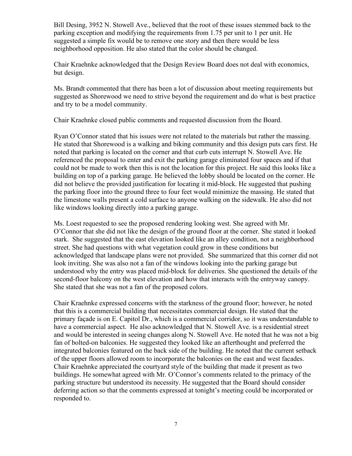Bill Desing, 3952 N. Stowell Ave., believed that the root of these issues stemmed back to the parking exception and modifying the requirements from 1.75 per unit to 1 per unit. He suggested a simple fix would be to remove one story and then there would be less neighborhood opposition. He also stated that the color should be changed.

Chair Kraehnke acknowledged that the Design Review Board does not deal with economics, but design.

Ms. Brandt commented that there has been a lot of discussion about meeting requirements but suggested as Shorewood we need to strive beyond the requirement and do what is best practice and try to be a model community.

Chair Kraehnke closed public comments and requested discussion from the Board.

Ryan O'Connor stated that his issues were not related to the materials but rather the massing. He stated that Shorewood is a walking and biking community and this design puts cars first. He noted that parking is located on the corner and that curb cuts interrupt N. Stowell Ave. He referenced the proposal to enter and exit the parking garage eliminated four spaces and if that could not be made to work then this is not the location for this project. He said this looks like a building on top of a parking garage. He believed the lobby should be located on the corner. He did not believe the provided justification for locating it mid-block. He suggested that pushing the parking floor into the ground three to four feet would minimize the massing. He stated that the limestone walls present a cold surface to anyone walking on the sidewalk. He also did not like windows looking directly into a parking garage.

Ms. Loest requested to see the proposed rendering looking west. She agreed with Mr. O'Connor that she did not like the design of the ground floor at the corner. She stated it looked stark. She suggested that the east elevation looked like an alley condition, not a neighborhood street. She had questions with what vegetation could grow in these conditions but acknowledged that landscape plans were not provided. She summarized that this corner did not look inviting. She was also not a fan of the windows looking into the parking garage but understood why the entry was placed mid-block for deliveries. She questioned the details of the second-floor balcony on the west elevation and how that interacts with the entryway canopy. She stated that she was not a fan of the proposed colors.

Chair Kraehnke expressed concerns with the starkness of the ground floor; however, he noted that this is a commercial building that necessitates commercial design. He stated that the primary façade is on E. Capitol Dr., which is a commercial corridor, so it was understandable to have a commercial aspect. He also acknowledged that N. Stowell Ave. is a residential street and would be interested in seeing changes along N. Stowell Ave. He noted that he was not a big fan of bolted-on balconies. He suggested they looked like an afterthought and preferred the integrated balconies featured on the back side of the building. He noted that the current setback of the upper floors allowed room to incorporate the balconies on the east and west facades. Chair Kraehnke appreciated the courtyard style of the building that made it present as two buildings. He somewhat agreed with Mr. O'Connor's comments related to the primacy of the parking structure but understood its necessity. He suggested that the Board should consider deferring action so that the comments expressed at tonight's meeting could be incorporated or responded to.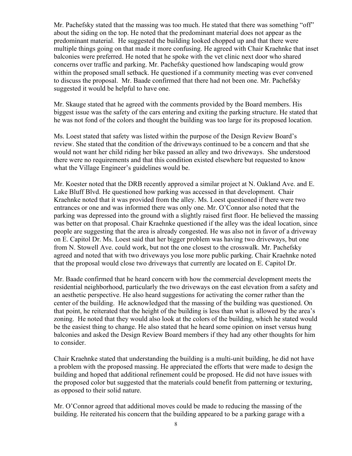Mr. Pachefsky stated that the massing was too much. He stated that there was something "off" about the siding on the top. He noted that the predominant material does not appear as the predominant material. He suggested the building looked chopped up and that there were multiple things going on that made it more confusing. He agreed with Chair Kraehnke that inset balconies were preferred. He noted that he spoke with the vet clinic next door who shared concerns over traffic and parking. Mr. Pachefsky questioned how landscaping would grow within the proposed small setback. He questioned if a community meeting was ever convened to discuss the proposal. Mr. Baade confirmed that there had not been one. Mr. Pachefsky suggested it would be helpful to have one.

Mr. Skauge stated that he agreed with the comments provided by the Board members. His biggest issue was the safety of the cars entering and exiting the parking structure. He stated that he was not fond of the colors and thought the building was too large for its proposed location.

Ms. Loest stated that safety was listed within the purpose of the Design Review Board's review. She stated that the condition of the driveways continued to be a concern and that she would not want her child riding her bike passed an alley and two driveways. She understood there were no requirements and that this condition existed elsewhere but requested to know what the Village Engineer's guidelines would be.

Mr. Koester noted that the DRB recently approved a similar project at N. Oakland Ave. and E. Lake Bluff Blvd. He questioned how parking was accessed in that development. Chair Kraehnke noted that it was provided from the alley. Ms. Loest questioned if there were two entrances or one and was informed there was only one. Mr. O'Connor also noted that the parking was depressed into the ground with a slightly raised first floor. He believed the massing was better on that proposal. Chair Kraehnke questioned if the alley was the ideal location, since people are suggesting that the area is already congested. He was also not in favor of a driveway on E. Capitol Dr. Ms. Loest said that her bigger problem was having two driveways, but one from N. Stowell Ave. could work, but not the one closest to the crosswalk. Mr. Pachefsky agreed and noted that with two driveways you lose more public parking. Chair Kraehnke noted that the proposal would close two driveways that currently are located on E. Capitol Dr.

Mr. Baade confirmed that he heard concern with how the commercial development meets the residential neighborhood, particularly the two driveways on the east elevation from a safety and an aesthetic perspective. He also heard suggestions for activating the corner rather than the center of the building. He acknowledged that the massing of the building was questioned. On that point, he reiterated that the height of the building is less than what is allowed by the area's zoning. He noted that they would also look at the colors of the building, which he stated would be the easiest thing to change. He also stated that he heard some opinion on inset versus hung balconies and asked the Design Review Board members if they had any other thoughts for him to consider.

Chair Kraehnke stated that understanding the building is a multi-unit building, he did not have a problem with the proposed massing. He appreciated the efforts that were made to design the building and hoped that additional refinement could be proposed. He did not have issues with the proposed color but suggested that the materials could benefit from patterning or texturing, as opposed to their solid nature.

Mr. O'Connor agreed that additional moves could be made to reducing the massing of the building. He reiterated his concern that the building appeared to be a parking garage with a